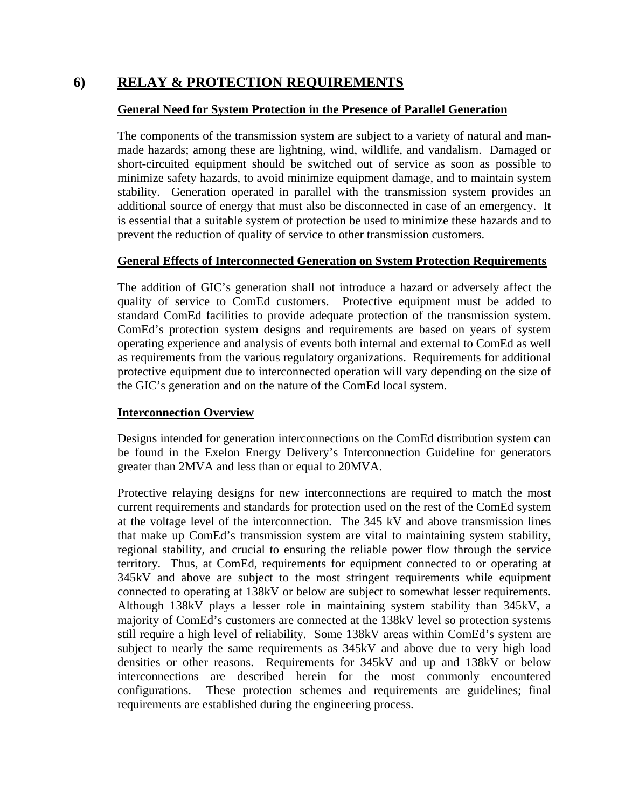## **6) RELAY & PROTECTION REQUIREMENTS**

### **General Need for System Protection in the Presence of Parallel Generation**

The components of the transmission system are subject to a variety of natural and manmade hazards; among these are lightning, wind, wildlife, and vandalism. Damaged or short-circuited equipment should be switched out of service as soon as possible to minimize safety hazards, to avoid minimize equipment damage, and to maintain system stability. Generation operated in parallel with the transmission system provides an additional source of energy that must also be disconnected in case of an emergency. It is essential that a suitable system of protection be used to minimize these hazards and to prevent the reduction of quality of service to other transmission customers.

### **General Effects of Interconnected Generation on System Protection Requirements**

The addition of GIC's generation shall not introduce a hazard or adversely affect the quality of service to ComEd customers. Protective equipment must be added to standard ComEd facilities to provide adequate protection of the transmission system. ComEd's protection system designs and requirements are based on years of system operating experience and analysis of events both internal and external to ComEd as well as requirements from the various regulatory organizations. Requirements for additional protective equipment due to interconnected operation will vary depending on the size of the GIC's generation and on the nature of the ComEd local system.

## **Interconnection Overview**

Designs intended for generation interconnections on the ComEd distribution system can be found in the Exelon Energy Delivery's Interconnection Guideline for generators greater than 2MVA and less than or equal to 20MVA.

Protective relaying designs for new interconnections are required to match the most current requirements and standards for protection used on the rest of the ComEd system at the voltage level of the interconnection. The 345 kV and above transmission lines that make up ComEd's transmission system are vital to maintaining system stability, regional stability, and crucial to ensuring the reliable power flow through the service territory. Thus, at ComEd, requirements for equipment connected to or operating at 345kV and above are subject to the most stringent requirements while equipment connected to operating at 138kV or below are subject to somewhat lesser requirements. Although 138kV plays a lesser role in maintaining system stability than 345kV, a majority of ComEd's customers are connected at the 138kV level so protection systems still require a high level of reliability. Some 138kV areas within ComEd's system are subject to nearly the same requirements as 345kV and above due to very high load densities or other reasons. Requirements for 345kV and up and 138kV or below interconnections are described herein for the most commonly encountered configurations. These protection schemes and requirements are guidelines; final requirements are established during the engineering process.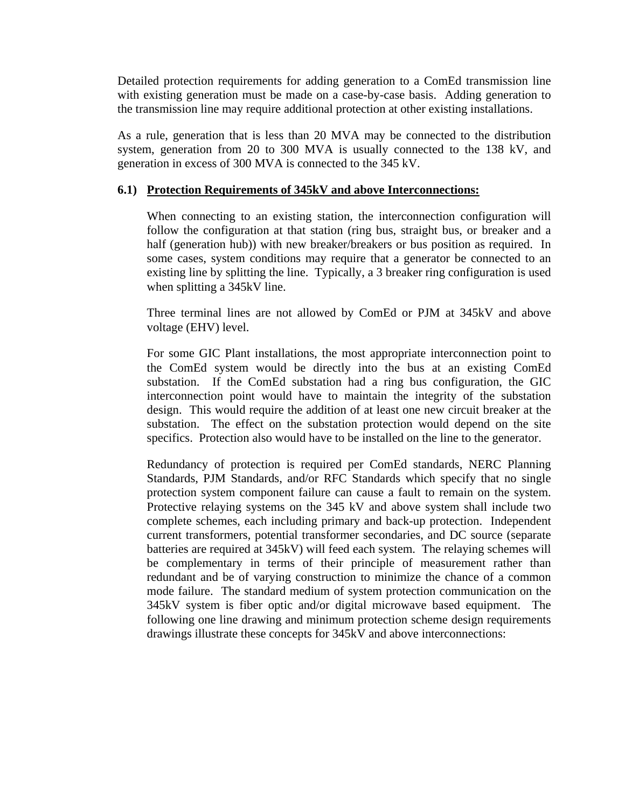Detailed protection requirements for adding generation to a ComEd transmission line with existing generation must be made on a case-by-case basis. Adding generation to the transmission line may require additional protection at other existing installations.

As a rule, generation that is less than 20 MVA may be connected to the distribution system, generation from 20 to 300 MVA is usually connected to the 138 kV, and generation in excess of 300 MVA is connected to the 345 kV.

#### **6.1) Protection Requirements of 345kV and above Interconnections:**

When connecting to an existing station, the interconnection configuration will follow the configuration at that station (ring bus, straight bus, or breaker and a half (generation hub)) with new breaker/breakers or bus position as required. In some cases, system conditions may require that a generator be connected to an existing line by splitting the line. Typically, a 3 breaker ring configuration is used when splitting a 345kV line.

Three terminal lines are not allowed by ComEd or PJM at 345kV and above voltage (EHV) level.

For some GIC Plant installations, the most appropriate interconnection point to the ComEd system would be directly into the bus at an existing ComEd substation. If the ComEd substation had a ring bus configuration, the GIC interconnection point would have to maintain the integrity of the substation design. This would require the addition of at least one new circuit breaker at the substation. The effect on the substation protection would depend on the site specifics. Protection also would have to be installed on the line to the generator.

Redundancy of protection is required per ComEd standards, NERC Planning Standards, PJM Standards, and/or RFC Standards which specify that no single protection system component failure can cause a fault to remain on the system. Protective relaying systems on the 345 kV and above system shall include two complete schemes, each including primary and back-up protection. Independent current transformers, potential transformer secondaries, and DC source (separate batteries are required at 345kV) will feed each system. The relaying schemes will be complementary in terms of their principle of measurement rather than redundant and be of varying construction to minimize the chance of a common mode failure. The standard medium of system protection communication on the 345kV system is fiber optic and/or digital microwave based equipment. The following one line drawing and minimum protection scheme design requirements drawings illustrate these concepts for 345kV and above interconnections: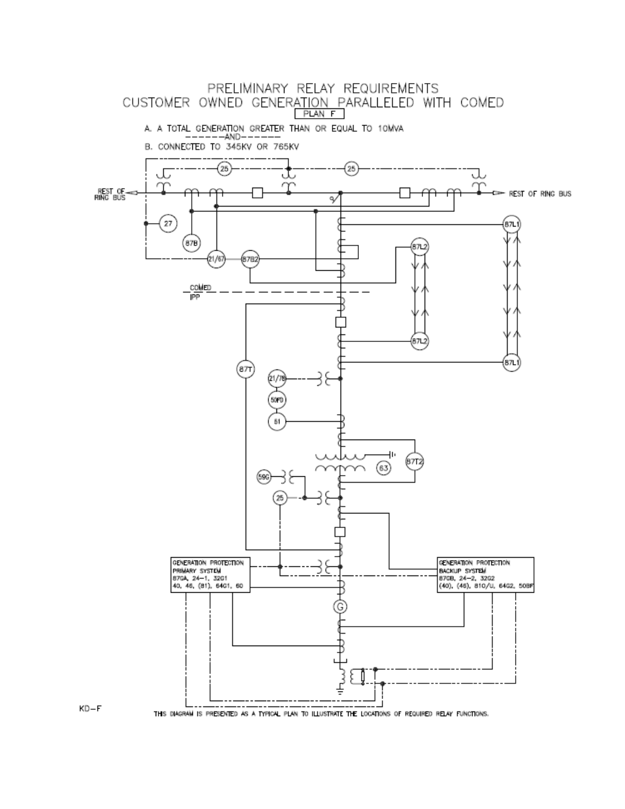

 $KD-F$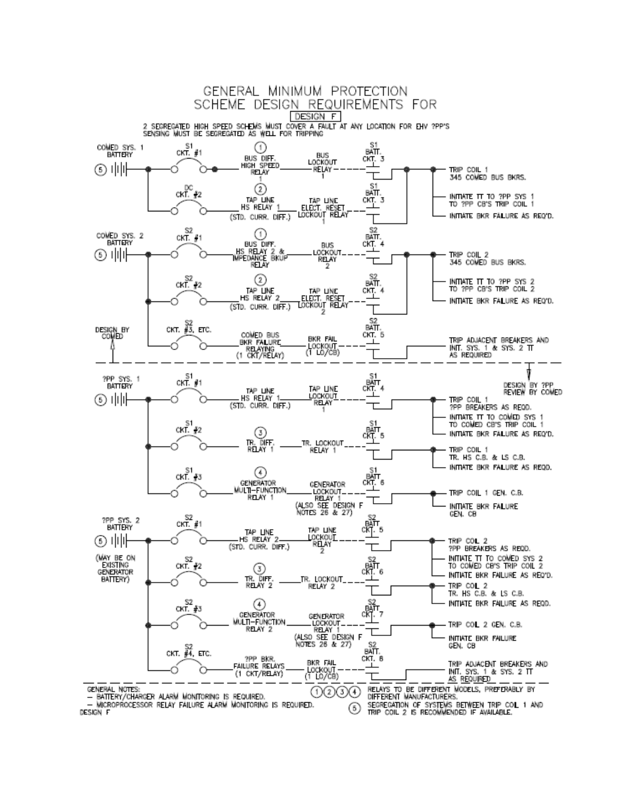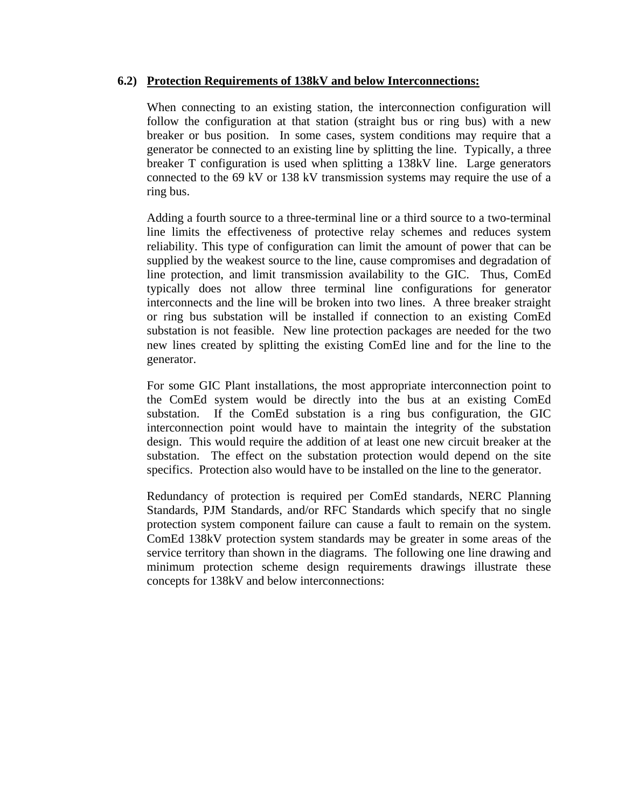### **6.2) Protection Requirements of 138kV and below Interconnections:**

When connecting to an existing station, the interconnection configuration will follow the configuration at that station (straight bus or ring bus) with a new breaker or bus position. In some cases, system conditions may require that a generator be connected to an existing line by splitting the line. Typically, a three breaker T configuration is used when splitting a 138kV line. Large generators connected to the 69 kV or 138 kV transmission systems may require the use of a ring bus.

Adding a fourth source to a three-terminal line or a third source to a two-terminal line limits the effectiveness of protective relay schemes and reduces system reliability. This type of configuration can limit the amount of power that can be supplied by the weakest source to the line, cause compromises and degradation of line protection, and limit transmission availability to the GIC. Thus, ComEd typically does not allow three terminal line configurations for generator interconnects and the line will be broken into two lines. A three breaker straight or ring bus substation will be installed if connection to an existing ComEd substation is not feasible. New line protection packages are needed for the two new lines created by splitting the existing ComEd line and for the line to the generator.

For some GIC Plant installations, the most appropriate interconnection point to the ComEd system would be directly into the bus at an existing ComEd substation. If the ComEd substation is a ring bus configuration, the GIC interconnection point would have to maintain the integrity of the substation design. This would require the addition of at least one new circuit breaker at the substation. The effect on the substation protection would depend on the site specifics. Protection also would have to be installed on the line to the generator.

Redundancy of protection is required per ComEd standards, NERC Planning Standards, PJM Standards, and/or RFC Standards which specify that no single protection system component failure can cause a fault to remain on the system. ComEd 138kV protection system standards may be greater in some areas of the service territory than shown in the diagrams. The following one line drawing and minimum protection scheme design requirements drawings illustrate these concepts for 138kV and below interconnections: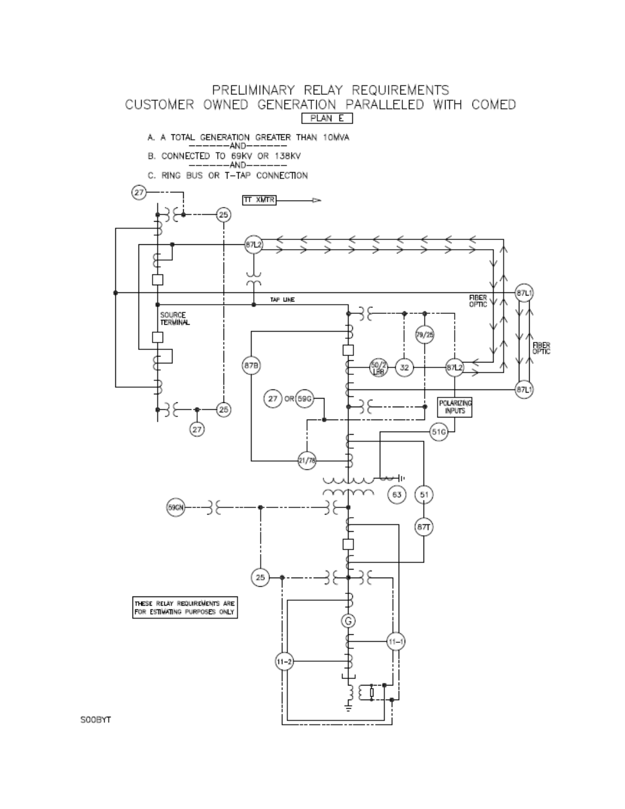

SOOBYT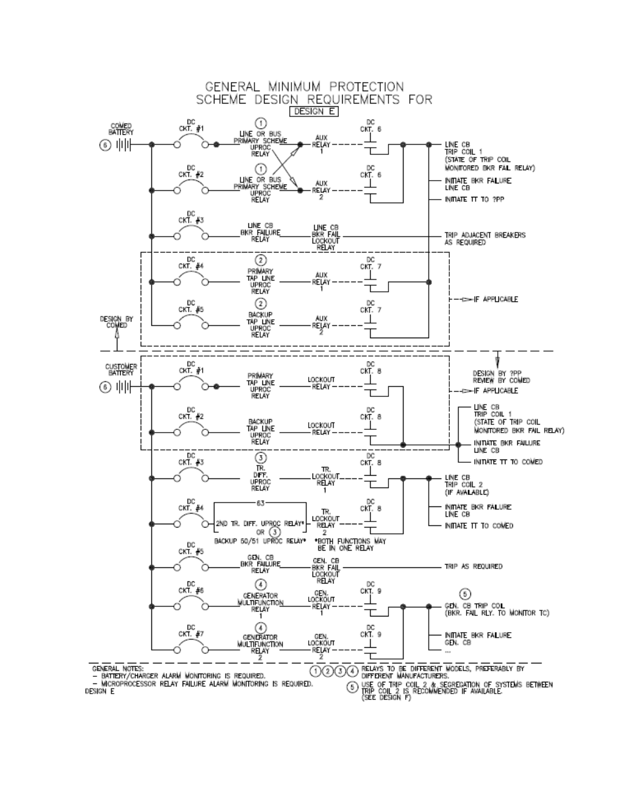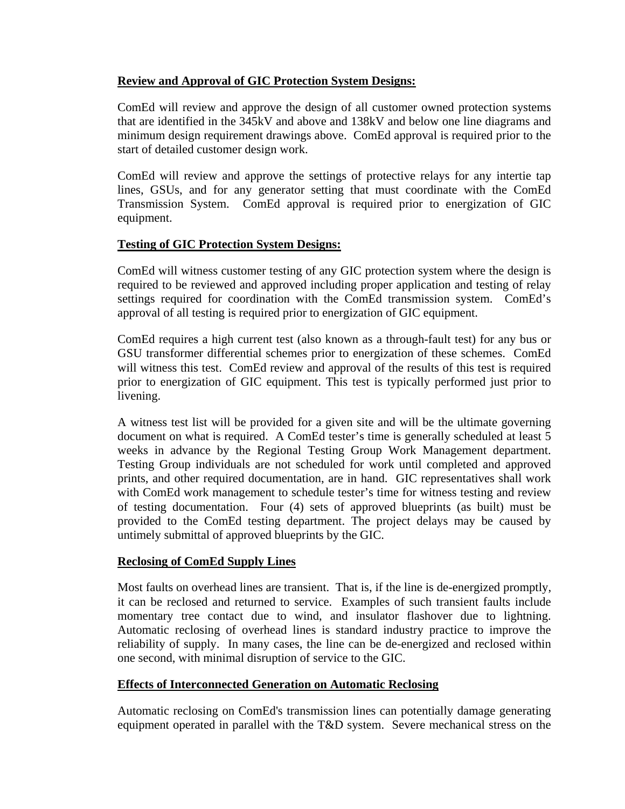## **Review and Approval of GIC Protection System Designs:**

ComEd will review and approve the design of all customer owned protection systems that are identified in the 345kV and above and 138kV and below one line diagrams and minimum design requirement drawings above. ComEd approval is required prior to the start of detailed customer design work.

ComEd will review and approve the settings of protective relays for any intertie tap lines, GSUs, and for any generator setting that must coordinate with the ComEd Transmission System. ComEd approval is required prior to energization of GIC equipment.

## **Testing of GIC Protection System Designs:**

ComEd will witness customer testing of any GIC protection system where the design is required to be reviewed and approved including proper application and testing of relay settings required for coordination with the ComEd transmission system. ComEd's approval of all testing is required prior to energization of GIC equipment.

ComEd requires a high current test (also known as a through-fault test) for any bus or GSU transformer differential schemes prior to energization of these schemes. ComEd will witness this test. ComEd review and approval of the results of this test is required prior to energization of GIC equipment. This test is typically performed just prior to livening.

A witness test list will be provided for a given site and will be the ultimate governing document on what is required. A ComEd tester's time is generally scheduled at least 5 weeks in advance by the Regional Testing Group Work Management department. Testing Group individuals are not scheduled for work until completed and approved prints, and other required documentation, are in hand. GIC representatives shall work with ComEd work management to schedule tester's time for witness testing and review of testing documentation. Four (4) sets of approved blueprints (as built) must be provided to the ComEd testing department. The project delays may be caused by untimely submittal of approved blueprints by the GIC.

## **Reclosing of ComEd Supply Lines**

Most faults on overhead lines are transient. That is, if the line is de-energized promptly, it can be reclosed and returned to service. Examples of such transient faults include momentary tree contact due to wind, and insulator flashover due to lightning. Automatic reclosing of overhead lines is standard industry practice to improve the reliability of supply. In many cases, the line can be de-energized and reclosed within one second, with minimal disruption of service to the GIC.

## **Effects of Interconnected Generation on Automatic Reclosing**

Automatic reclosing on ComEd's transmission lines can potentially damage generating equipment operated in parallel with the T&D system. Severe mechanical stress on the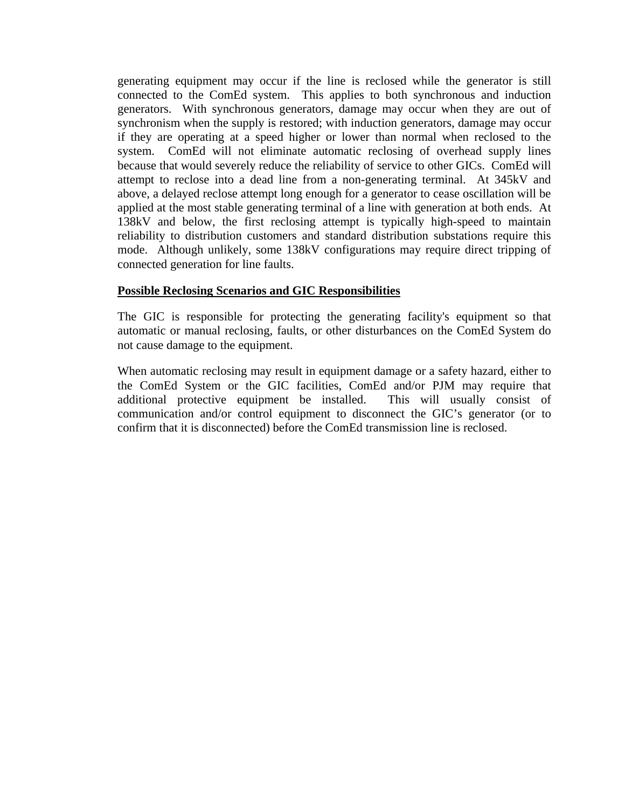generating equipment may occur if the line is reclosed while the generator is still connected to the ComEd system. This applies to both synchronous and induction generators. With synchronous generators, damage may occur when they are out of synchronism when the supply is restored; with induction generators, damage may occur if they are operating at a speed higher or lower than normal when reclosed to the system. ComEd will not eliminate automatic reclosing of overhead supply lines because that would severely reduce the reliability of service to other GICs. ComEd will attempt to reclose into a dead line from a non-generating terminal. At 345kV and above, a delayed reclose attempt long enough for a generator to cease oscillation will be applied at the most stable generating terminal of a line with generation at both ends. At 138kV and below, the first reclosing attempt is typically high-speed to maintain reliability to distribution customers and standard distribution substations require this mode. Although unlikely, some 138kV configurations may require direct tripping of connected generation for line faults.

### **Possible Reclosing Scenarios and GIC Responsibilities**

The GIC is responsible for protecting the generating facility's equipment so that automatic or manual reclosing, faults, or other disturbances on the ComEd System do not cause damage to the equipment.

When automatic reclosing may result in equipment damage or a safety hazard, either to the ComEd System or the GIC facilities, ComEd and/or PJM may require that additional protective equipment be installed. This will usually consist of communication and/or control equipment to disconnect the GIC's generator (or to confirm that it is disconnected) before the ComEd transmission line is reclosed.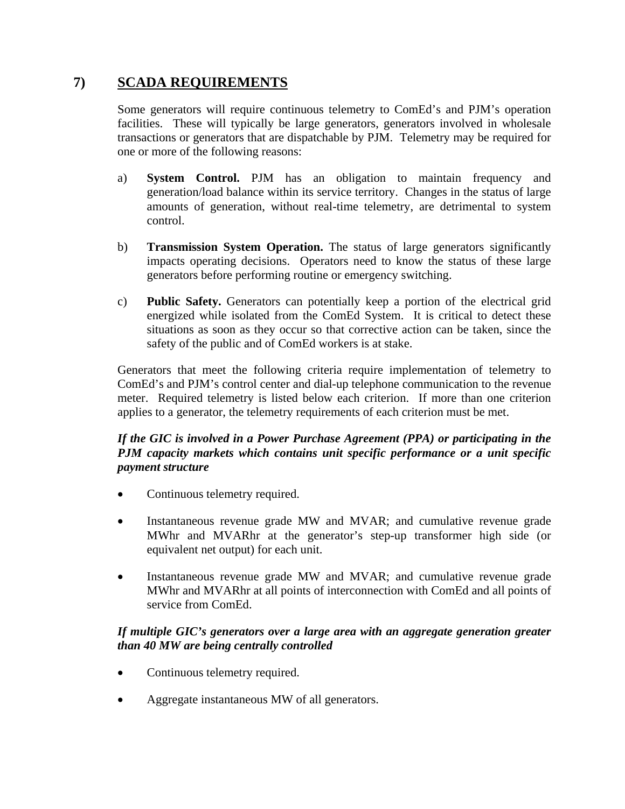# **7) SCADA REQUIREMENTS**

Some generators will require continuous telemetry to ComEd's and PJM's operation facilities. These will typically be large generators, generators involved in wholesale transactions or generators that are dispatchable by PJM. Telemetry may be required for one or more of the following reasons:

- a) **System Control.** PJM has an obligation to maintain frequency and generation/load balance within its service territory. Changes in the status of large amounts of generation, without real-time telemetry, are detrimental to system control.
- b) **Transmission System Operation.** The status of large generators significantly impacts operating decisions. Operators need to know the status of these large generators before performing routine or emergency switching.
- c) **Public Safety.** Generators can potentially keep a portion of the electrical grid energized while isolated from the ComEd System. It is critical to detect these situations as soon as they occur so that corrective action can be taken, since the safety of the public and of ComEd workers is at stake.

Generators that meet the following criteria require implementation of telemetry to ComEd's and PJM's control center and dial-up telephone communication to the revenue meter. Required telemetry is listed below each criterion. If more than one criterion applies to a generator, the telemetry requirements of each criterion must be met.

## *If the GIC is involved in a Power Purchase Agreement (PPA) or participating in the PJM capacity markets which contains unit specific performance or a unit specific payment structure*

- Continuous telemetry required.
- Instantaneous revenue grade MW and MVAR; and cumulative revenue grade MWhr and MVARhr at the generator's step-up transformer high side (or equivalent net output) for each unit.
- Instantaneous revenue grade MW and MVAR; and cumulative revenue grade MWhr and MVARhr at all points of interconnection with ComEd and all points of service from ComEd.

## *If multiple GIC's generators over a large area with an aggregate generation greater than 40 MW are being centrally controlled*

- Continuous telemetry required.
- Aggregate instantaneous MW of all generators.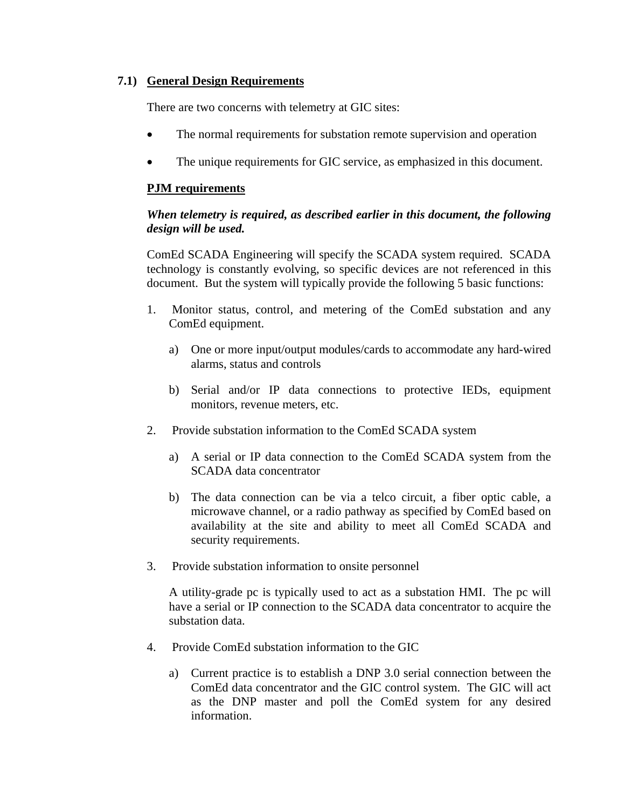### **7.1) General Design Requirements**

There are two concerns with telemetry at GIC sites:

- The normal requirements for substation remote supervision and operation
- The unique requirements for GIC service, as emphasized in this document.

### **PJM requirements**

## *When telemetry is required, as described earlier in this document, the following design will be used.*

ComEd SCADA Engineering will specify the SCADA system required. SCADA technology is constantly evolving, so specific devices are not referenced in this document. But the system will typically provide the following 5 basic functions:

- 1. Monitor status, control, and metering of the ComEd substation and any ComEd equipment.
	- a) One or more input/output modules/cards to accommodate any hard-wired alarms, status and controls
	- b) Serial and/or IP data connections to protective IEDs, equipment monitors, revenue meters, etc.
- 2. Provide substation information to the ComEd SCADA system
	- a) A serial or IP data connection to the ComEd SCADA system from the SCADA data concentrator
	- b) The data connection can be via a telco circuit, a fiber optic cable, a microwave channel, or a radio pathway as specified by ComEd based on availability at the site and ability to meet all ComEd SCADA and security requirements.
- 3. Provide substation information to onsite personnel

A utility-grade pc is typically used to act as a substation HMI. The pc will have a serial or IP connection to the SCADA data concentrator to acquire the substation data.

- 4. Provide ComEd substation information to the GIC
	- a) Current practice is to establish a DNP 3.0 serial connection between the ComEd data concentrator and the GIC control system. The GIC will act as the DNP master and poll the ComEd system for any desired information.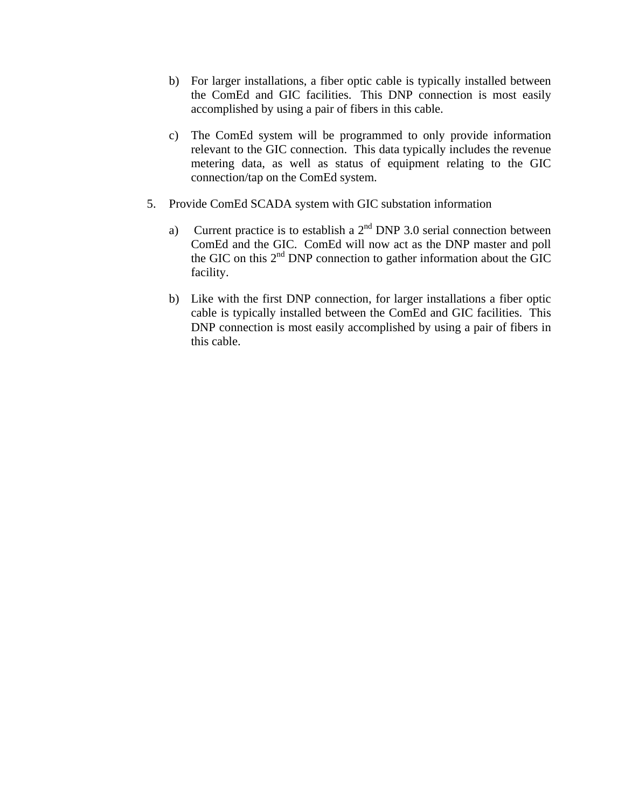- b) For larger installations, a fiber optic cable is typically installed between the ComEd and GIC facilities. This DNP connection is most easily accomplished by using a pair of fibers in this cable.
- c) The ComEd system will be programmed to only provide information relevant to the GIC connection. This data typically includes the revenue metering data, as well as status of equipment relating to the GIC connection/tap on the ComEd system.
- 5. Provide ComEd SCADA system with GIC substation information
	- a) Current practice is to establish a  $2<sup>nd</sup>$  DNP 3.0 serial connection between ComEd and the GIC. ComEd will now act as the DNP master and poll the GIC on this  $2<sup>nd</sup>$  DNP connection to gather information about the GIC facility.
	- b) Like with the first DNP connection, for larger installations a fiber optic cable is typically installed between the ComEd and GIC facilities. This DNP connection is most easily accomplished by using a pair of fibers in this cable.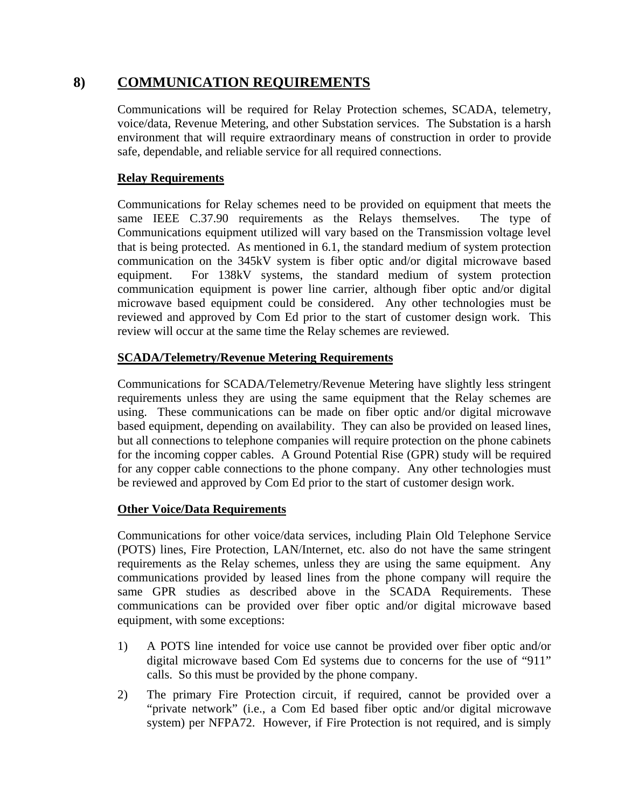# **8) COMMUNICATION REQUIREMENTS**

Communications will be required for Relay Protection schemes, SCADA, telemetry, voice/data, Revenue Metering, and other Substation services. The Substation is a harsh environment that will require extraordinary means of construction in order to provide safe, dependable, and reliable service for all required connections.

## **Relay Requirements**

Communications for Relay schemes need to be provided on equipment that meets the same IEEE C.37.90 requirements as the Relays themselves. The type of Communications equipment utilized will vary based on the Transmission voltage level that is being protected. As mentioned in 6.1, the standard medium of system protection communication on the 345kV system is fiber optic and/or digital microwave based equipment. For 138kV systems, the standard medium of system protection communication equipment is power line carrier, although fiber optic and/or digital microwave based equipment could be considered. Any other technologies must be reviewed and approved by Com Ed prior to the start of customer design work. This review will occur at the same time the Relay schemes are reviewed.

## **SCADA/Telemetry/Revenue Metering Requirements**

Communications for SCADA/Telemetry/Revenue Metering have slightly less stringent requirements unless they are using the same equipment that the Relay schemes are using. These communications can be made on fiber optic and/or digital microwave based equipment, depending on availability. They can also be provided on leased lines, but all connections to telephone companies will require protection on the phone cabinets for the incoming copper cables. A Ground Potential Rise (GPR) study will be required for any copper cable connections to the phone company. Any other technologies must be reviewed and approved by Com Ed prior to the start of customer design work.

## **Other Voice/Data Requirements**

Communications for other voice/data services, including Plain Old Telephone Service (POTS) lines, Fire Protection, LAN/Internet, etc. also do not have the same stringent requirements as the Relay schemes, unless they are using the same equipment. Any communications provided by leased lines from the phone company will require the same GPR studies as described above in the SCADA Requirements. These communications can be provided over fiber optic and/or digital microwave based equipment, with some exceptions:

- 1) A POTS line intended for voice use cannot be provided over fiber optic and/or digital microwave based Com Ed systems due to concerns for the use of "911" calls. So this must be provided by the phone company.
- 2) The primary Fire Protection circuit, if required, cannot be provided over a "private network" (i.e., a Com Ed based fiber optic and/or digital microwave system) per NFPA72. However, if Fire Protection is not required, and is simply